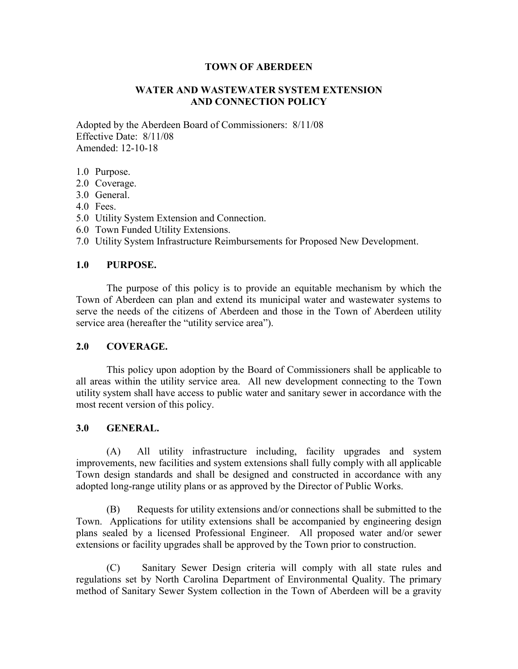#### **TOWN OF ABERDEEN**

### **WATER AND WASTEWATER SYSTEM EXTENSION AND CONNECTION POLICY**

Adopted by the Aberdeen Board of Commissioners: 8/11/08 Effective Date: 8/11/08 Amended: 12-10-18

- 1.0 Purpose.
- 2.0 Coverage.
- 3.0 General.
- 4.0 Fees.
- 5.0 Utility System Extension and Connection.
- 6.0 Town Funded Utility Extensions.
- 7.0 Utility System Infrastructure Reimbursements for Proposed New Development.

#### **1.0 PURPOSE.**

The purpose of this policy is to provide an equitable mechanism by which the Town of Aberdeen can plan and extend its municipal water and wastewater systems to serve the needs of the citizens of Aberdeen and those in the Town of Aberdeen utility service area (hereafter the "utility service area").

#### **2.0 COVERAGE.**

This policy upon adoption by the Board of Commissioners shall be applicable to all areas within the utility service area. All new development connecting to the Town utility system shall have access to public water and sanitary sewer in accordance with the most recent version of this policy.

### **3.0 GENERAL.**

(A) All utility infrastructure including, facility upgrades and system improvements, new facilities and system extensions shall fully comply with all applicable Town design standards and shall be designed and constructed in accordance with any adopted long-range utility plans or as approved by the Director of Public Works.

(B) Requests for utility extensions and/or connections shall be submitted to the Town. Applications for utility extensions shall be accompanied by engineering design plans sealed by a licensed Professional Engineer. All proposed water and/or sewer extensions or facility upgrades shall be approved by the Town prior to construction.

(C) Sanitary Sewer Design criteria will comply with all state rules and regulations set by North Carolina Department of Environmental Quality. The primary method of Sanitary Sewer System collection in the Town of Aberdeen will be a gravity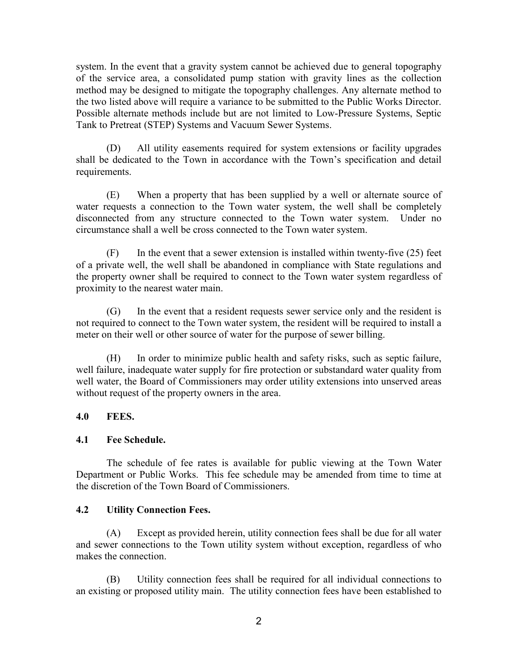system. In the event that a gravity system cannot be achieved due to general topography of the service area, a consolidated pump station with gravity lines as the collection method may be designed to mitigate the topography challenges. Any alternate method to the two listed above will require a variance to be submitted to the Public Works Director. Possible alternate methods include but are not limited to Low-Pressure Systems, Septic Tank to Pretreat (STEP) Systems and Vacuum Sewer Systems.

(D) All utility easements required for system extensions or facility upgrades shall be dedicated to the Town in accordance with the Town's specification and detail requirements.

(E) When a property that has been supplied by a well or alternate source of water requests a connection to the Town water system, the well shall be completely disconnected from any structure connected to the Town water system. Under no circumstance shall a well be cross connected to the Town water system.

 $(F)$  In the event that a sewer extension is installed within twenty-five (25) feet of a private well, the well shall be abandoned in compliance with State regulations and the property owner shall be required to connect to the Town water system regardless of proximity to the nearest water main.

(G) In the event that a resident requests sewer service only and the resident is not required to connect to the Town water system, the resident will be required to install a meter on their well or other source of water for the purpose of sewer billing.

(H) In order to minimize public health and safety risks, such as septic failure, well failure, inadequate water supply for fire protection or substandard water quality from well water, the Board of Commissioners may order utility extensions into unserved areas without request of the property owners in the area.

# **4.0 FEES.**

### **4.1 Fee Schedule.**

The schedule of fee rates is available for public viewing at the Town Water Department or Public Works. This fee schedule may be amended from time to time at the discretion of the Town Board of Commissioners.

# **4.2 Utility Connection Fees.**

(A) Except as provided herein, utility connection fees shall be due for all water and sewer connections to the Town utility system without exception, regardless of who makes the connection.

(B) Utility connection fees shall be required for all individual connections to an existing or proposed utility main. The utility connection fees have been established to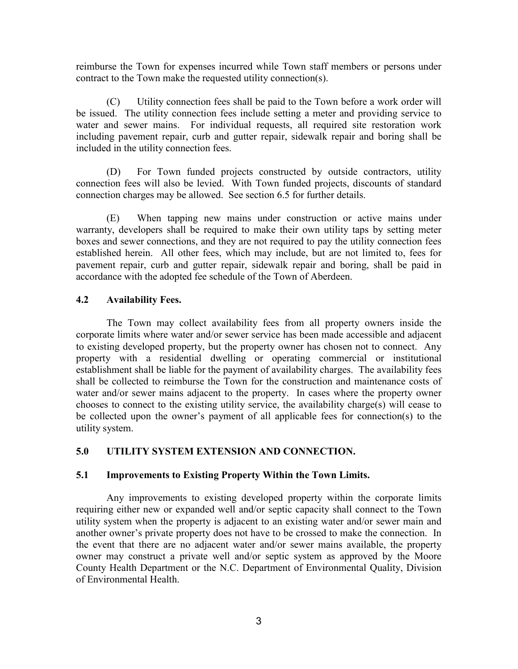reimburse the Town for expenses incurred while Town staff members or persons under contract to the Town make the requested utility connection(s).

(C) Utility connection fees shall be paid to the Town before a work order will be issued. The utility connection fees include setting a meter and providing service to water and sewer mains. For individual requests, all required site restoration work including pavement repair, curb and gutter repair, sidewalk repair and boring shall be included in the utility connection fees.

(D) For Town funded projects constructed by outside contractors, utility connection fees will also be levied. With Town funded projects, discounts of standard connection charges may be allowed. See section 6.5 for further details.

(E) When tapping new mains under construction or active mains under warranty, developers shall be required to make their own utility taps by setting meter boxes and sewer connections, and they are not required to pay the utility connection fees established herein. All other fees, which may include, but are not limited to, fees for pavement repair, curb and gutter repair, sidewalk repair and boring, shall be paid in accordance with the adopted fee schedule of the Town of Aberdeen.

# **4.2 Availability Fees.**

The Town may collect availability fees from all property owners inside the corporate limits where water and/or sewer service has been made accessible and adjacent to existing developed property, but the property owner has chosen not to connect. Any property with a residential dwelling or operating commercial or institutional establishment shall be liable for the payment of availability charges. The availability fees shall be collected to reimburse the Town for the construction and maintenance costs of water and/or sewer mains adjacent to the property. In cases where the property owner chooses to connect to the existing utility service, the availability charge(s) will cease to be collected upon the owner's payment of all applicable fees for connection(s) to the utility system.

# **5.0 UTILITY SYSTEM EXTENSION AND CONNECTION.**

### **5.1 Improvements to Existing Property Within the Town Limits.**

Any improvements to existing developed property within the corporate limits requiring either new or expanded well and/or septic capacity shall connect to the Town utility system when the property is adjacent to an existing water and/or sewer main and another owner's private property does not have to be crossed to make the connection. In the event that there are no adjacent water and/or sewer mains available, the property owner may construct a private well and/or septic system as approved by the Moore County Health Department or the N.C. Department of Environmental Quality, Division of Environmental Health.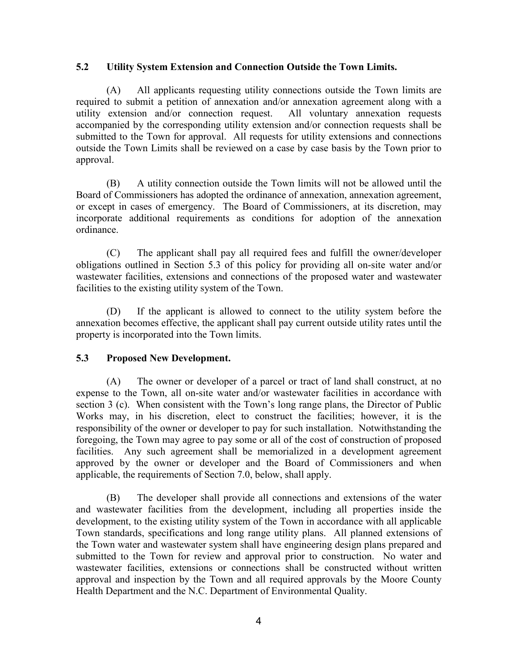# **5.2 Utility System Extension and Connection Outside the Town Limits.**

(A) All applicants requesting utility connections outside the Town limits are required to submit a petition of annexation and/or annexation agreement along with a utility extension and/or connection request. All voluntary annexation requests accompanied by the corresponding utility extension and/or connection requests shall be submitted to the Town for approval. All requests for utility extensions and connections outside the Town Limits shall be reviewed on a case by case basis by the Town prior to approval.

(B) A utility connection outside the Town limits will not be allowed until the Board of Commissioners has adopted the ordinance of annexation, annexation agreement, or except in cases of emergency. The Board of Commissioners, at its discretion, may incorporate additional requirements as conditions for adoption of the annexation ordinance.

(C) The applicant shall pay all required fees and fulfill the owner/developer obligations outlined in Section 5.3 of this policy for providing all on-site water and/or wastewater facilities, extensions and connections of the proposed water and wastewater facilities to the existing utility system of the Town.

(D) If the applicant is allowed to connect to the utility system before the annexation becomes effective, the applicant shall pay current outside utility rates until the property is incorporated into the Town limits.

# **5.3 Proposed New Development.**

(A) The owner or developer of a parcel or tract of land shall construct, at no expense to the Town, all on-site water and/or wastewater facilities in accordance with section 3 (c). When consistent with the Town's long range plans, the Director of Public Works may, in his discretion, elect to construct the facilities; however, it is the responsibility of the owner or developer to pay for such installation. Notwithstanding the foregoing, the Town may agree to pay some or all of the cost of construction of proposed facilities. Any such agreement shall be memorialized in a development agreement approved by the owner or developer and the Board of Commissioners and when applicable, the requirements of Section 7.0, below, shall apply.

(B) The developer shall provide all connections and extensions of the water and wastewater facilities from the development, including all properties inside the development, to the existing utility system of the Town in accordance with all applicable Town standards, specifications and long range utility plans. All planned extensions of the Town water and wastewater system shall have engineering design plans prepared and submitted to the Town for review and approval prior to construction. No water and wastewater facilities, extensions or connections shall be constructed without written approval and inspection by the Town and all required approvals by the Moore County Health Department and the N.C. Department of Environmental Quality.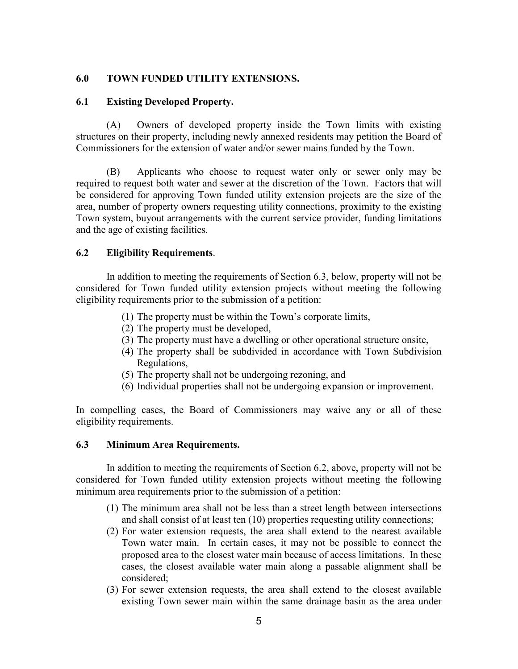### **6.0 TOWN FUNDED UTILITY EXTENSIONS.**

### **6.1 Existing Developed Property.**

(A) Owners of developed property inside the Town limits with existing structures on their property, including newly annexed residents may petition the Board of Commissioners for the extension of water and/or sewer mains funded by the Town.

(B) Applicants who choose to request water only or sewer only may be required to request both water and sewer at the discretion of the Town. Factors that will be considered for approving Town funded utility extension projects are the size of the area, number of property owners requesting utility connections, proximity to the existing Town system, buyout arrangements with the current service provider, funding limitations and the age of existing facilities.

### **6.2 Eligibility Requirements**.

In addition to meeting the requirements of Section 6.3, below, property will not be considered for Town funded utility extension projects without meeting the following eligibility requirements prior to the submission of a petition:

- (1) The property must be within the Town's corporate limits,
- (2) The property must be developed,
- (3) The property must have a dwelling or other operational structure onsite,
- (4) The property shall be subdivided in accordance with Town Subdivision Regulations,
- (5) The property shall not be undergoing rezoning, and
- (6) Individual properties shall not be undergoing expansion or improvement.

In compelling cases, the Board of Commissioners may waive any or all of these eligibility requirements.

### **6.3 Minimum Area Requirements.**

In addition to meeting the requirements of Section 6.2, above, property will not be considered for Town funded utility extension projects without meeting the following minimum area requirements prior to the submission of a petition:

- (1) The minimum area shall not be less than a street length between intersections and shall consist of at least ten (10) properties requesting utility connections;
- (2) For water extension requests, the area shall extend to the nearest available Town water main. In certain cases, it may not be possible to connect the proposed area to the closest water main because of access limitations. In these cases, the closest available water main along a passable alignment shall be considered;
- (3) For sewer extension requests, the area shall extend to the closest available existing Town sewer main within the same drainage basin as the area under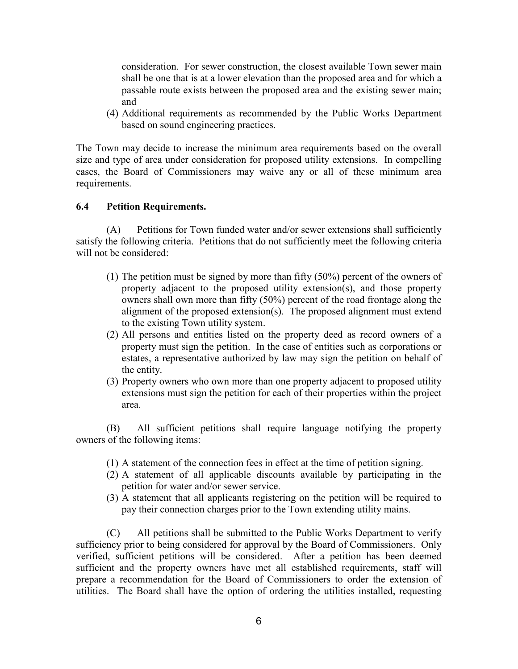consideration. For sewer construction, the closest available Town sewer main shall be one that is at a lower elevation than the proposed area and for which a passable route exists between the proposed area and the existing sewer main; and

(4) Additional requirements as recommended by the Public Works Department based on sound engineering practices.

The Town may decide to increase the minimum area requirements based on the overall size and type of area under consideration for proposed utility extensions. In compelling cases, the Board of Commissioners may waive any or all of these minimum area requirements.

### **6.4 Petition Requirements.**

(A) Petitions for Town funded water and/or sewer extensions shall sufficiently satisfy the following criteria. Petitions that do not sufficiently meet the following criteria will not be considered:

- (1) The petition must be signed by more than fifty (50%) percent of the owners of property adjacent to the proposed utility extension(s), and those property owners shall own more than fifty (50%) percent of the road frontage along the alignment of the proposed extension(s). The proposed alignment must extend to the existing Town utility system.
- (2) All persons and entities listed on the property deed as record owners of a property must sign the petition. In the case of entities such as corporations or estates, a representative authorized by law may sign the petition on behalf of the entity.
- (3) Property owners who own more than one property adjacent to proposed utility extensions must sign the petition for each of their properties within the project area.

(B) All sufficient petitions shall require language notifying the property owners of the following items:

- (1) A statement of the connection fees in effect at the time of petition signing.
- (2) A statement of all applicable discounts available by participating in the petition for water and/or sewer service.
- (3) A statement that all applicants registering on the petition will be required to pay their connection charges prior to the Town extending utility mains.

(C) All petitions shall be submitted to the Public Works Department to verify sufficiency prior to being considered for approval by the Board of Commissioners. Only verified, sufficient petitions will be considered. After a petition has been deemed sufficient and the property owners have met all established requirements, staff will prepare a recommendation for the Board of Commissioners to order the extension of utilities. The Board shall have the option of ordering the utilities installed, requesting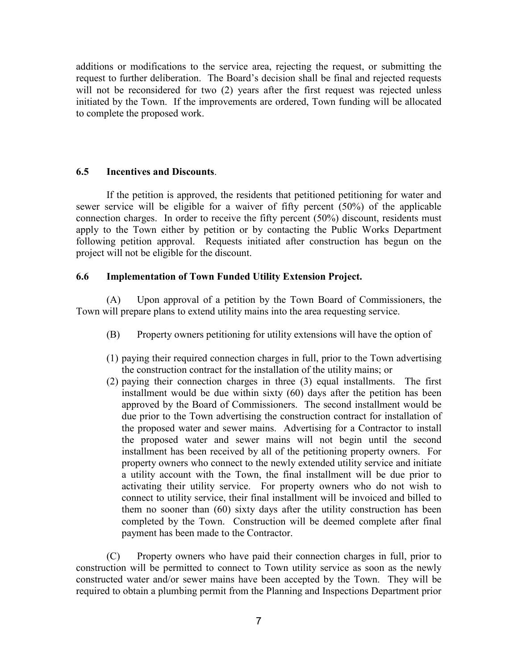additions or modifications to the service area, rejecting the request, or submitting the request to further deliberation. The Board's decision shall be final and rejected requests will not be reconsidered for two (2) years after the first request was rejected unless initiated by the Town. If the improvements are ordered, Town funding will be allocated to complete the proposed work.

### **6.5 Incentives and Discounts**.

If the petition is approved, the residents that petitioned petitioning for water and sewer service will be eligible for a waiver of fifty percent (50%) of the applicable connection charges. In order to receive the fifty percent (50%) discount, residents must apply to the Town either by petition or by contacting the Public Works Department following petition approval. Requests initiated after construction has begun on the project will not be eligible for the discount.

#### **6.6 Implementation of Town Funded Utility Extension Project.**

(A) Upon approval of a petition by the Town Board of Commissioners, the Town will prepare plans to extend utility mains into the area requesting service.

- (B) Property owners petitioning for utility extensions will have the option of
- (1) paying their required connection charges in full, prior to the Town advertising the construction contract for the installation of the utility mains; or
- (2) paying their connection charges in three (3) equal installments. The first installment would be due within sixty (60) days after the petition has been approved by the Board of Commissioners. The second installment would be due prior to the Town advertising the construction contract for installation of the proposed water and sewer mains. Advertising for a Contractor to install the proposed water and sewer mains will not begin until the second installment has been received by all of the petitioning property owners. For property owners who connect to the newly extended utility service and initiate a utility account with the Town, the final installment will be due prior to activating their utility service. For property owners who do not wish to connect to utility service, their final installment will be invoiced and billed to them no sooner than (60) sixty days after the utility construction has been completed by the Town. Construction will be deemed complete after final payment has been made to the Contractor.

(C) Property owners who have paid their connection charges in full, prior to construction will be permitted to connect to Town utility service as soon as the newly constructed water and/or sewer mains have been accepted by the Town. They will be required to obtain a plumbing permit from the Planning and Inspections Department prior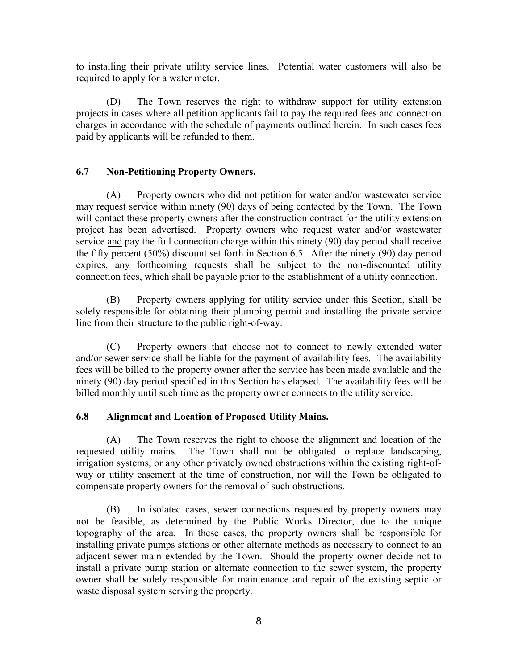to installing their private utility service lines. Potential water customers will also be required to apply for a water meter.

(D) The Town reserves the right to withdraw support for utility extension projects in cases where all petition applicants fail to pay the required fees and connection charges in accordance with the schedule of payments outlined herein. In such cases fees paid by applicants will be refunded to them.

# **6.7 Non-Petitioning Property Owners.**

(A) Property owners who did not petition for water and/or wastewater service may request service within ninety (90) days of being contacted by the Town. The Town will contact these property owners after the construction contract for the utility extension project has been advertised. Property owners who request water and/or wastewater service and pay the full connection charge within this ninety (90) day period shall receive the fifty percent (50%) discount set forth in Section 6.5. After the ninety (90) day period expires, any forthcoming requests shall be subject to the non-discounted utility connection fees, which shall be payable prior to the establishment of a utility connection.

(B) Property owners applying for utility service under this Section, shall be solely responsible for obtaining their plumbing permit and installing the private service line from their structure to the public right-of-way.

(C) Property owners that choose not to connect to newly extended water and/or sewer service shall be liable for the payment of availability fees. The availability fees will be billed to the property owner after the service has been made available and the ninety (90) day period specified in this Section has elapsed. The availability fees will be billed monthly until such time as the property owner connects to the utility service.

### **6.8 Alignment and Location of Proposed Utility Mains.**

(A) The Town reserves the right to choose the alignment and location of the requested utility mains. The Town shall not be obligated to replace landscaping, irrigation systems, or any other privately owned obstructions within the existing right-ofway or utility easement at the time of construction, nor will the Town be obligated to compensate property owners for the removal of such obstructions.

(B) In isolated cases, sewer connections requested by property owners may not be feasible, as determined by the Public Works Director, due to the unique topography of the area. In these cases, the property owners shall be responsible for installing private pumps stations or other alternate methods as necessary to connect to an adjacent sewer main extended by the Town. Should the property owner decide not to install a private pump station or alternate connection to the sewer system, the property owner shall be solely responsible for maintenance and repair of the existing septic or waste disposal system serving the property.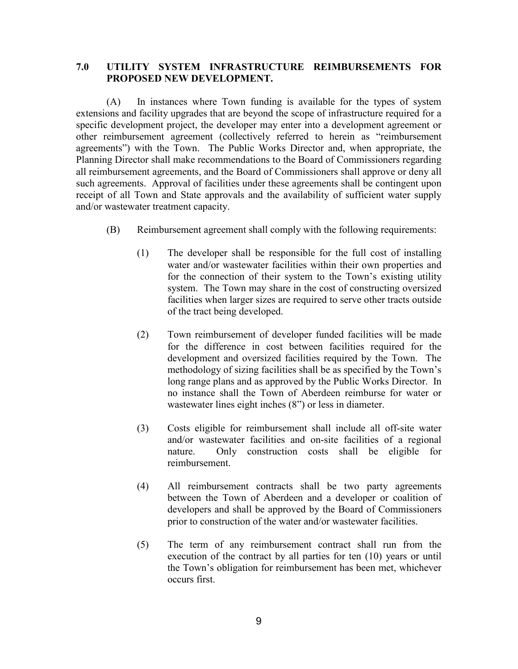### **7.0 UTILITY SYSTEM INFRASTRUCTURE REIMBURSEMENTS FOR PROPOSED NEW DEVELOPMENT.**

(A) In instances where Town funding is available for the types of system extensions and facility upgrades that are beyond the scope of infrastructure required for a specific development project, the developer may enter into a development agreement or other reimbursement agreement (collectively referred to herein as "reimbursement agreements") with the Town. The Public Works Director and, when appropriate, the Planning Director shall make recommendations to the Board of Commissioners regarding all reimbursement agreements, and the Board of Commissioners shall approve or deny all such agreements. Approval of facilities under these agreements shall be contingent upon receipt of all Town and State approvals and the availability of sufficient water supply and/or wastewater treatment capacity.

- (B) Reimbursement agreement shall comply with the following requirements:
	- (1) The developer shall be responsible for the full cost of installing water and/or wastewater facilities within their own properties and for the connection of their system to the Town's existing utility system. The Town may share in the cost of constructing oversized facilities when larger sizes are required to serve other tracts outside of the tract being developed.
	- (2) Town reimbursement of developer funded facilities will be made for the difference in cost between facilities required for the development and oversized facilities required by the Town. The methodology of sizing facilities shall be as specified by the Town's long range plans and as approved by the Public Works Director. In no instance shall the Town of Aberdeen reimburse for water or wastewater lines eight inches (8") or less in diameter.
	- (3) Costs eligible for reimbursement shall include all off-site water and/or wastewater facilities and on-site facilities of a regional nature. Only construction costs shall be eligible for reimbursement.
	- (4) All reimbursement contracts shall be two party agreements between the Town of Aberdeen and a developer or coalition of developers and shall be approved by the Board of Commissioners prior to construction of the water and/or wastewater facilities.
	- (5) The term of any reimbursement contract shall run from the execution of the contract by all parties for ten (10) years or until the Town's obligation for reimbursement has been met, whichever occurs first.